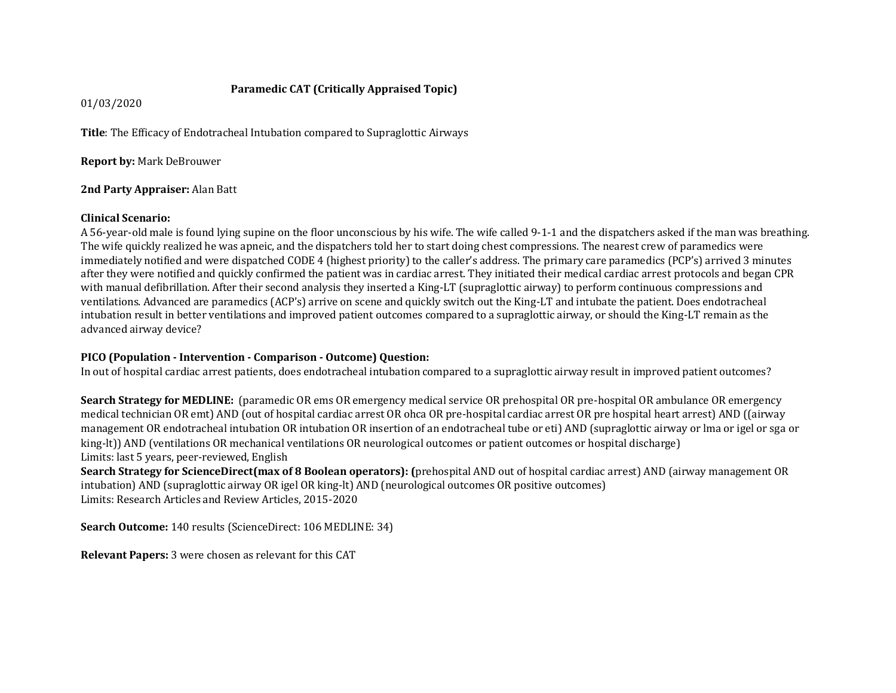# **Paramedic CAT (Critically Appraised Topic)**

01/03/2020

**Title**: The Efficacy of Endotracheal Intubation compared to Supraglottic Airways

**Report by:** Mark DeBrouwer

## **2nd Party Appraiser:** Alan Batt

## **Clinical Scenario:**

A 56-year-old male is found lying supine on the floor unconscious by his wife. The wife called 9-1-1 and the dispatchers asked if the man was breathing. The wife quickly realized he was apneic, and the dispatchers told her to start doing chest compressions. The nearest crew of paramedics were immediately notified and were dispatched CODE 4 (highest priority) to the caller's address. The primary care paramedics (PCP's) arrived 3 minutes after they were notified and quickly confirmed the patient was in cardiac arrest. They initiated their medical cardiac arrest protocols and began CPR with manual defibrillation. After their second analysis they inserted a King-LT (supraglottic airway) to perform continuous compressions and ventilations. Advanced are paramedics (ACP's) arrive on scene and quickly switch out the King-LT and intubate the patient. Does endotracheal intubation result in better ventilations and improved patient outcomes compared to a supraglottic airway, or should the King-LT remain as the advanced airway device?

# **PICO (Population - Intervention - Comparison - Outcome) Question:**

In out of hospital cardiac arrest patients, does endotracheal intubation compared to a supraglottic airway result in improved patient outcomes?

**Search Strategy for MEDLINE:** (paramedic OR ems OR emergency medical service OR prehospital OR pre-hospital OR ambulance OR emergency medical technician OR emt) AND (out of hospital cardiac arrest OR ohca OR pre-hospital cardiac arrest OR pre hospital heart arrest) AND ((airway management OR endotracheal intubation OR intubation OR insertion of an endotracheal tube or eti) AND (supraglottic airway or lma or igel or sga or king-lt)) AND (ventilations OR mechanical ventilations OR neurological outcomes or patient outcomes or hospital discharge) Limits: last 5 years, peer-reviewed, English

**Search Strategy for ScienceDirect(max of 8 Boolean operators): (**prehospital AND out of hospital cardiac arrest) AND (airway management OR intubation) AND (supraglottic airway OR igel OR king-lt) AND (neurological outcomes OR positive outcomes) Limits: Research Articles and Review Articles, 2015-2020

**Search Outcome:** 140 results (ScienceDirect: 106 MEDLINE: 34)

**Relevant Papers:** 3 were chosen as relevant for this CAT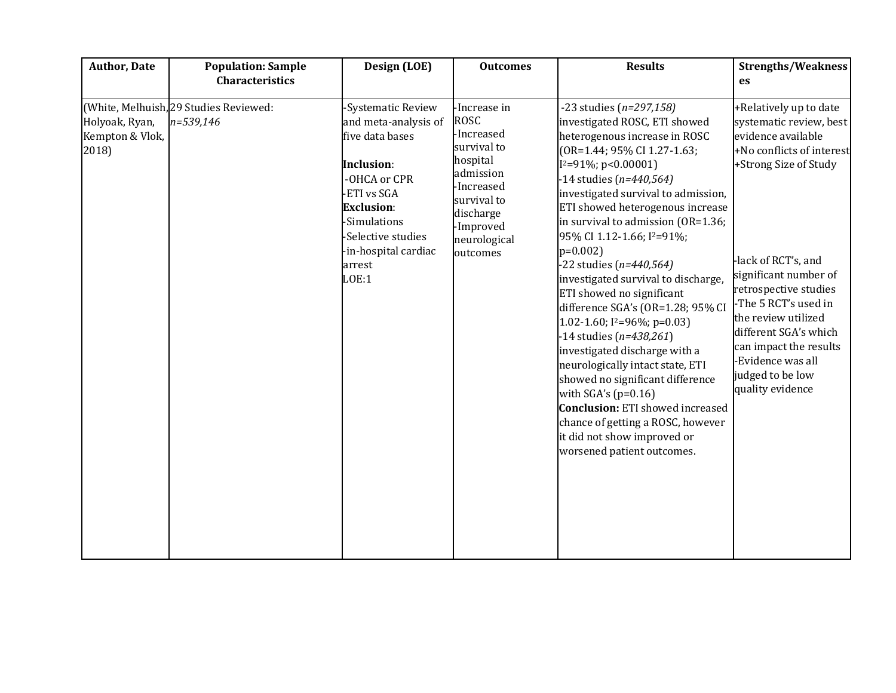| <b>Author, Date</b>                        | <b>Population: Sample</b>                           | Design (LOE)                                                                                                                                                                                                           | <b>Outcomes</b>                                                                                                                                                      | <b>Results</b>                                                                                                                                                                                                                                                                                                                                                                                                                                                                                                                                                                                                                                                                                                                                                                                                                                   | <b>Strengths/Weakness</b>                                                                                                                                                                                                                                                                                                                                             |
|--------------------------------------------|-----------------------------------------------------|------------------------------------------------------------------------------------------------------------------------------------------------------------------------------------------------------------------------|----------------------------------------------------------------------------------------------------------------------------------------------------------------------|--------------------------------------------------------------------------------------------------------------------------------------------------------------------------------------------------------------------------------------------------------------------------------------------------------------------------------------------------------------------------------------------------------------------------------------------------------------------------------------------------------------------------------------------------------------------------------------------------------------------------------------------------------------------------------------------------------------------------------------------------------------------------------------------------------------------------------------------------|-----------------------------------------------------------------------------------------------------------------------------------------------------------------------------------------------------------------------------------------------------------------------------------------------------------------------------------------------------------------------|
|                                            | <b>Characteristics</b>                              |                                                                                                                                                                                                                        |                                                                                                                                                                      |                                                                                                                                                                                                                                                                                                                                                                                                                                                                                                                                                                                                                                                                                                                                                                                                                                                  | <b>es</b>                                                                                                                                                                                                                                                                                                                                                             |
| Holyoak, Ryan,<br>Kempton & Vlok,<br>2018) | (White, Melhuish, 29 Studies Reviewed:<br>n=539,146 | -Systematic Review<br>and meta-analysis of<br>five data bases<br><b>Inclusion:</b><br>-OHCA or CPR<br>ETI vs SGA<br><b>Exclusion:</b><br>-Simulations<br>-Selective studies<br>-in-hospital cardiac<br>arrest<br>LOE:1 | -Increase in<br><b>ROSC</b><br>-Increased<br>survival to<br>hospital<br>admission<br>-Increased<br>survival to<br>discharge<br>-Improved<br>neurological<br>outcomes | -23 studies (n=297,158)<br>investigated ROSC, ETI showed<br>heterogenous increase in ROSC<br>(OR=1.44; 95% CI 1.27-1.63;<br>$I^2=91\%$ ; p<0.00001)<br>14 studies $(n=440, 564)$<br>investigated survival to admission,<br>ETI showed heterogenous increase<br>in survival to admission (OR=1.36;<br>95% CI 1.12-1.66; I <sup>2</sup> =91%;<br>$p=0.002$<br>$-22$ studies (n=440,564)<br>investigated survival to discharge,<br>ETI showed no significant<br>difference SGA's (OR=1.28; 95% CI<br>1.02-1.60; $I^2=96\%$ ; $p=0.03$ )<br>$-14$ studies (n=438,261)<br>investigated discharge with a<br>neurologically intact state, ETI<br>showed no significant difference<br>with $SGA's (p=0.16)$<br><b>Conclusion:</b> ETI showed increased<br>chance of getting a ROSC, however<br>it did not show improved or<br>worsened patient outcomes. | +Relatively up to date<br>systematic review, best<br>evidence available<br>+No conflicts of interest<br>+Strong Size of Study<br>-lack of RCT's, and<br>significant number of<br>retrospective studies<br>-The 5 RCT's used in<br>the review utilized<br>different SGA's which<br>can impact the results<br>-Evidence was all<br>judged to be low<br>quality evidence |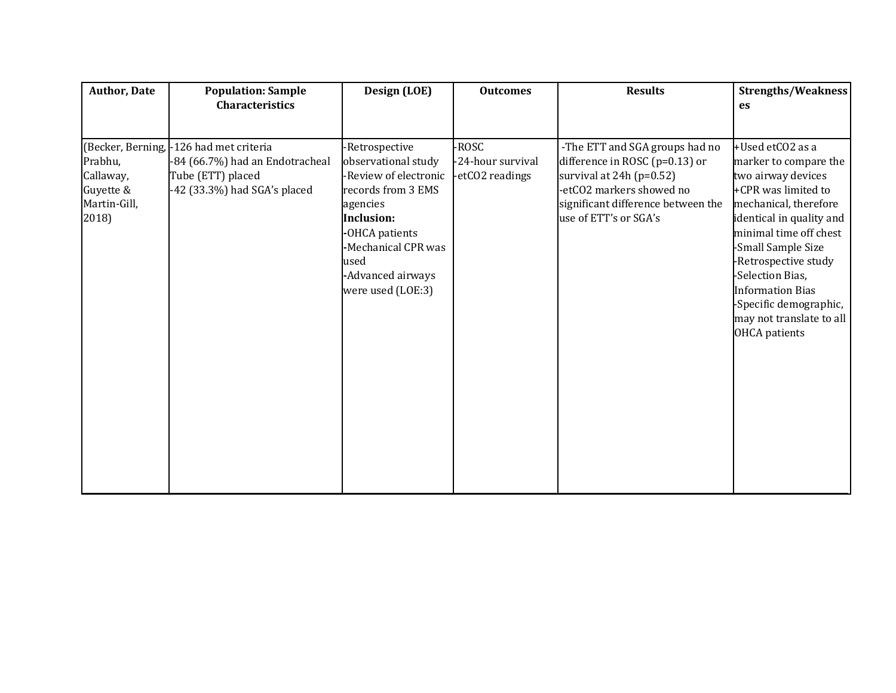| <b>Author, Date</b>                                        | <b>Population: Sample</b><br><b>Characteristics</b>                                                                             | Design (LOE)                                                                                                                                                                                                     | <b>Outcomes</b>                               | <b>Results</b>                                                                                                                                                                            | Strengths/Weakness<br>es                                                                                                                                                                                                                                                                                                                         |
|------------------------------------------------------------|---------------------------------------------------------------------------------------------------------------------------------|------------------------------------------------------------------------------------------------------------------------------------------------------------------------------------------------------------------|-----------------------------------------------|-------------------------------------------------------------------------------------------------------------------------------------------------------------------------------------------|--------------------------------------------------------------------------------------------------------------------------------------------------------------------------------------------------------------------------------------------------------------------------------------------------------------------------------------------------|
|                                                            |                                                                                                                                 |                                                                                                                                                                                                                  |                                               |                                                                                                                                                                                           |                                                                                                                                                                                                                                                                                                                                                  |
| Prabhu,<br>Callaway,<br>Guyette &<br>Martin-Gill,<br>2018) | (Becker, Berning, -126 had met criteria<br>-84 (66.7%) had an Endotracheal<br>Tube (ETT) placed<br>-42 (33.3%) had SGA's placed | -Retrospective<br>observational study<br>-Review of electronic<br>records from 3 EMS<br>agencies<br><b>Inclusion:</b><br>-OHCA patients<br>-Mechanical CPR was<br>used<br>-Advanced airways<br>were used (LOE:3) | -ROSC<br>-24-hour survival<br>-etCO2 readings | -The ETT and SGA groups had no<br>difference in ROSC (p=0.13) or<br>survival at $24h$ (p=0.52)<br>-etCO2 markers showed no<br>significant difference between the<br>use of ETT's or SGA's | +Used etCO2 as a<br>marker to compare the<br>two airway devices<br>+CPR was limited to<br>mechanical, therefore<br>identical in quality and<br>minimal time off chest<br>-Small Sample Size<br>-Retrospective study<br>-Selection Bias,<br><b>Information Bias</b><br>-Specific demographic,<br>may not translate to all<br><b>OHCA</b> patients |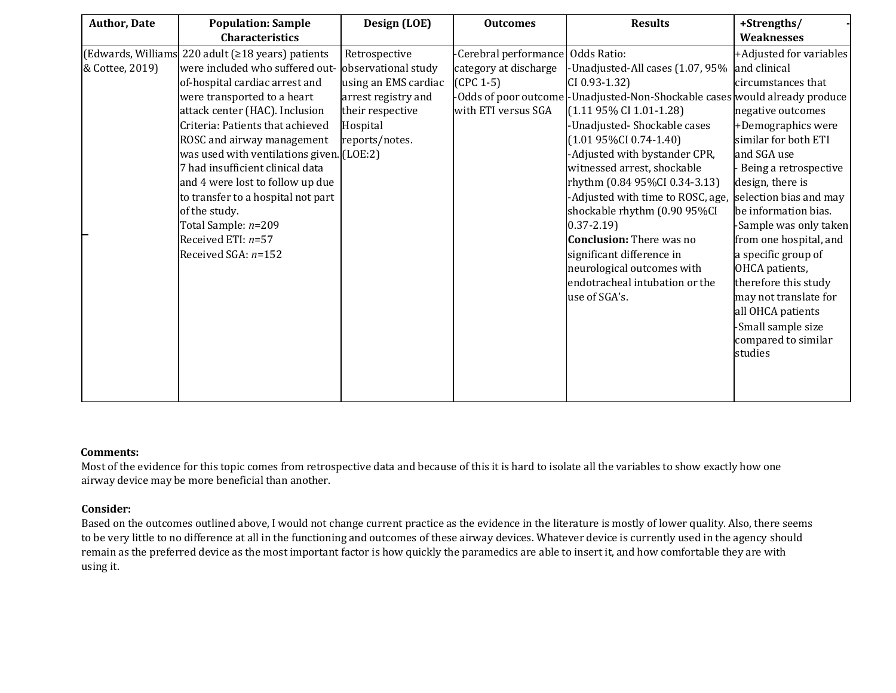| <b>Author, Date</b> | <b>Population: Sample</b>                                | Design (LOE)         | <b>Outcomes</b>                   | <b>Results</b>                                                              | +Strengths/             |
|---------------------|----------------------------------------------------------|----------------------|-----------------------------------|-----------------------------------------------------------------------------|-------------------------|
|                     | <b>Characteristics</b>                                   |                      |                                   |                                                                             | <b>Weaknesses</b>       |
|                     | (Edwards, Williams 220 adult ( $\geq$ 18 years) patients | Retrospective        | -Cerebral performance Odds Ratio: |                                                                             | +Adjusted for variables |
| & Cottee, 2019)     | were included who suffered out-                          | observational study  | category at discharge             | -Unadjusted-All cases (1.07, 95%                                            | and clinical            |
|                     | of-hospital cardiac arrest and                           | using an EMS cardiac | $(CPC 1-5)$                       | CI 0.93-1.32)                                                               | circumstances that      |
|                     | were transported to a heart                              | arrest registry and  |                                   | -Odds of poor outcome -Unadjusted-Non-Shockable cases would already produce |                         |
|                     | attack center (HAC). Inclusion                           | their respective     | with ETI versus SGA               | $(1.1195\% \text{ CI} 1.01-1.28)$                                           | negative outcomes       |
|                     | Criteria: Patients that achieved                         | Hospital             |                                   | -Unadjusted-Shockable cases                                                 | +Demographics were      |
|                     | ROSC and airway management                               | reports/notes.       |                                   | $(1.0195\%CI 0.74-1.40)$                                                    | similar for both ETI    |
|                     | was used with ventilations given. (LOE:2)                |                      |                                   | -Adjusted with bystander CPR,                                               | and SGA use             |
|                     | 7 had insufficient clinical data                         |                      |                                   | witnessed arrest, shockable                                                 | Being a retrospective   |
|                     | and 4 were lost to follow up due                         |                      |                                   | rhythm (0.84 95%CI 0.34-3.13)                                               | design, there is        |
|                     | to transfer to a hospital not part                       |                      |                                   | -Adjusted with time to ROSC, age,                                           | selection bias and may  |
|                     | of the study.                                            |                      |                                   | shockable rhythm (0.90 95%CI                                                | be information bias.    |
|                     | Total Sample: n=209                                      |                      |                                   | $0.37 - 2.19$                                                               | -Sample was only taken  |
|                     | Received ETI: $n=57$                                     |                      |                                   | <b>Conclusion:</b> There was no                                             | from one hospital, and  |
|                     | Received SGA: $n=152$                                    |                      |                                   | significant difference in                                                   | a specific group of     |
|                     |                                                          |                      |                                   | neurological outcomes with                                                  | OHCA patients,          |
|                     |                                                          |                      |                                   | endotracheal intubation or the                                              | therefore this study    |
|                     |                                                          |                      |                                   | use of SGA's.                                                               | may not translate for   |
|                     |                                                          |                      |                                   |                                                                             | all OHCA patients       |
|                     |                                                          |                      |                                   |                                                                             | Small sample size       |
|                     |                                                          |                      |                                   |                                                                             | compared to similar     |
|                     |                                                          |                      |                                   |                                                                             | studies                 |
|                     |                                                          |                      |                                   |                                                                             |                         |
|                     |                                                          |                      |                                   |                                                                             |                         |
|                     |                                                          |                      |                                   |                                                                             |                         |

#### **Comments:**

Most of the evidence for this topic comes from retrospective data and because of this it is hard to isolate all the variables to show exactly how one airway device may be more beneficial than another.

# **Consider:**

Based on the outcomes outlined above, I would not change current practice as the evidence in the literature is mostly of lower quality. Also, there seems to be very little to no difference at all in the functioning and outcomes of these airway devices. Whatever device is currently used in the agency should remain as the preferred device as the most important factor is how quickly the paramedics are able to insert it, and how comfortable they are with using it.